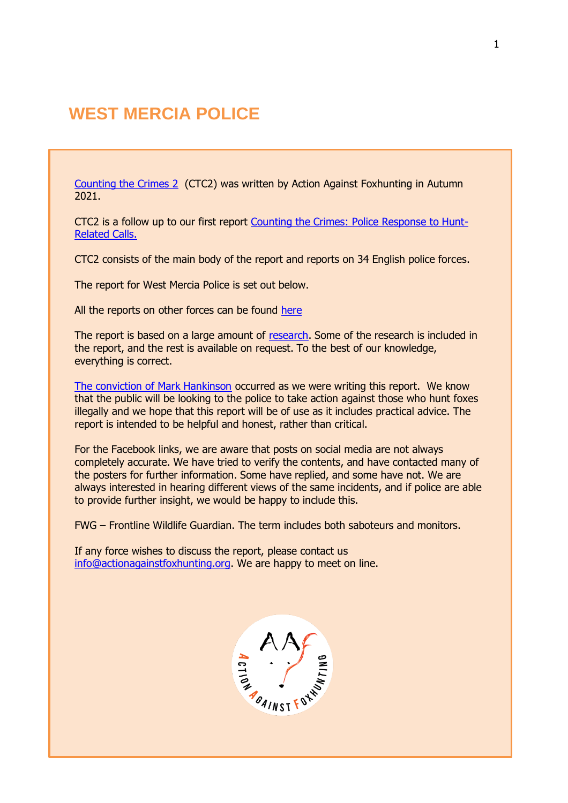# **WEST MERCIA POLICE**

[Counting the Crimes 2](https://www.actionagainstfoxhunting.org/counting-the-crimes2-the-police-response/) (CTC2) was written by Action Against Foxhunting in Autumn 2021.

CTC2 is a follow up to our first report [Counting the Crimes: Police Response to Hunt-](https://www.actionagainstfoxhunting.org/counting-the-crimes/)[Related Calls.](https://www.actionagainstfoxhunting.org/counting-the-crimes/)

CTC2 consists of the main body of the report and reports on 34 English police forces.

The report for West Mercia Police is set out below.

All the reports on other forces can be found [here](https://www.actionagainstfoxhunting.org/counting-the-crimes2-the-police-response/)

The report is based on a large amount of [research.](https://www.actionagainstfoxhunting.org/wp-content/uploads/2021/11/A-1411-Research-for-CTC2.pdf) Some of the research is included in the report, and the rest is available on request. To the best of our knowledge, everything is correct.

[The conviction of Mark Hankinson](https://www.league.org.uk/news-and-resources/news/hunting-office-webinars-the-road-to-conviction/) occurred as we were writing this report. We know that the public will be looking to the police to take action against those who hunt foxes illegally and we hope that this report will be of use as it includes practical advice. The report is intended to be helpful and honest, rather than critical.

For the Facebook links, we are aware that posts on social media are not always completely accurate. We have tried to verify the contents, and have contacted many of the posters for further information. Some have replied, and some have not. We are always interested in hearing different views of the same incidents, and if police are able to provide further insight, we would be happy to include this.

FWG – Frontline Wildlife Guardian. The term includes both saboteurs and monitors.

If any force wishes to discuss the report, please contact us [info@actionagainstfoxhunting.org.](mailto:info@actionagainstfoxhunting.org) We are happy to meet on line.

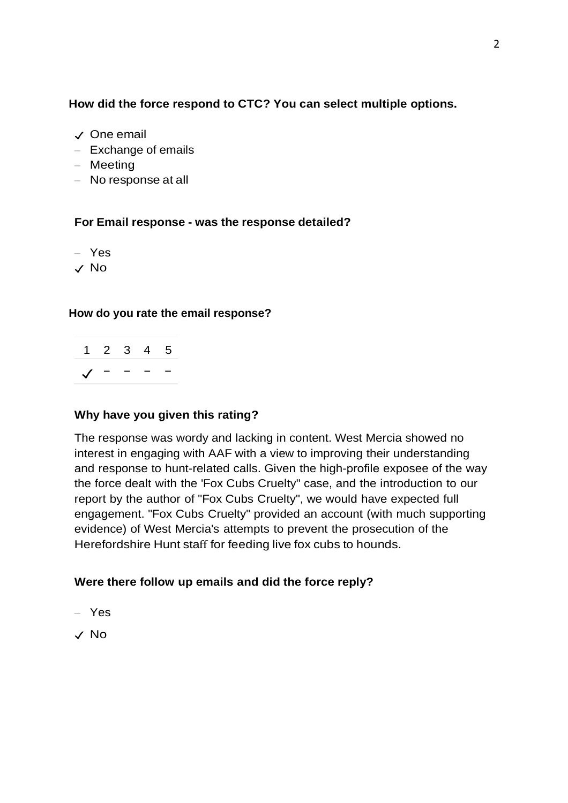## **How did the force respond to CTC? You can select multiple options.**

- ✓ One email
- Exchange of emails
- Meeting
- No response at all

## **For Email response - was the response detailed?**

- Yes
- ✓ No

## **How do you rate the email response?**

| $1\quad 2\quad 3\quad 4\quad 5$                                           |  |  |
|---------------------------------------------------------------------------|--|--|
| $\begin{array}{ccccccccc}\n\sqrt{ & & - & & - & & - & & - \\ \end{array}$ |  |  |

## **Why have you given this rating?**

The response was wordy and lacking in content. West Mercia showed no interest in engaging with AAF with a view to improving their understanding and response to hunt-related calls. Given the high-profile exposee of the way the force dealt with the 'Fox Cubs Cruelty" case, and the introduction to our report by the author of "Fox Cubs Cruelty", we would have expected full engagement. "Fox Cubs Cruelty" provided an account (with much supporting evidence) of West Mercia's attempts to prevent the prosecution of the Herefordshire Hunt staff for feeding live fox cubs to hounds.

## **Were there follow up emails and did the force reply?**

- Yes
- ✓ No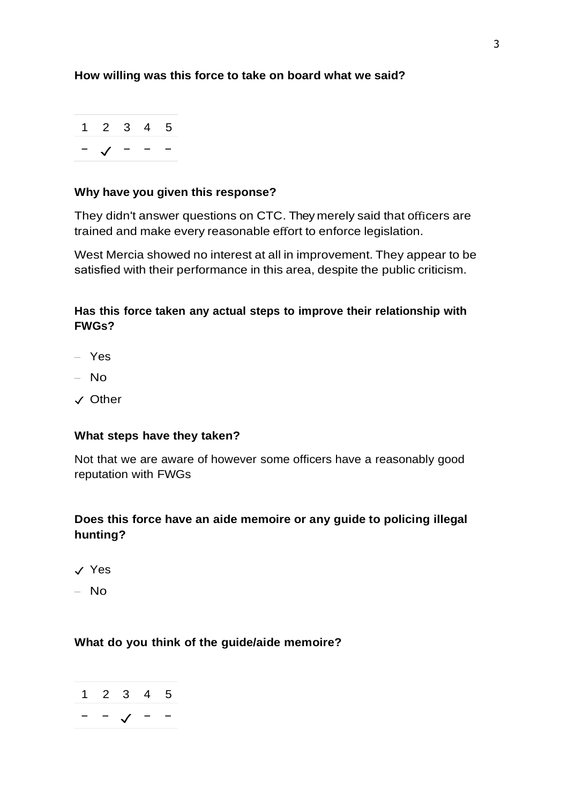## **How willing was this force to take on board what we said?**



#### **Why have you given this response?**

They didn't answer questions on CTC. They merely said that officers are trained and make every reasonable effort to enforce legislation.

West Mercia showed no interest at all in improvement. They appear to be satisfied with their performance in this area, despite the public criticism.

## **Has this force taken any actual steps to improve their relationship with FWGs?**

- Yes
- No
- ✓ Other

#### **What steps have they taken?**

Not that we are aware of however some officers have a reasonably good reputation with FWGs

## **Does this force have an aide memoire or any guide to policing illegal hunting?**

- ✓ Yes
- No

#### **What do you think of the guide/aide memoire?**

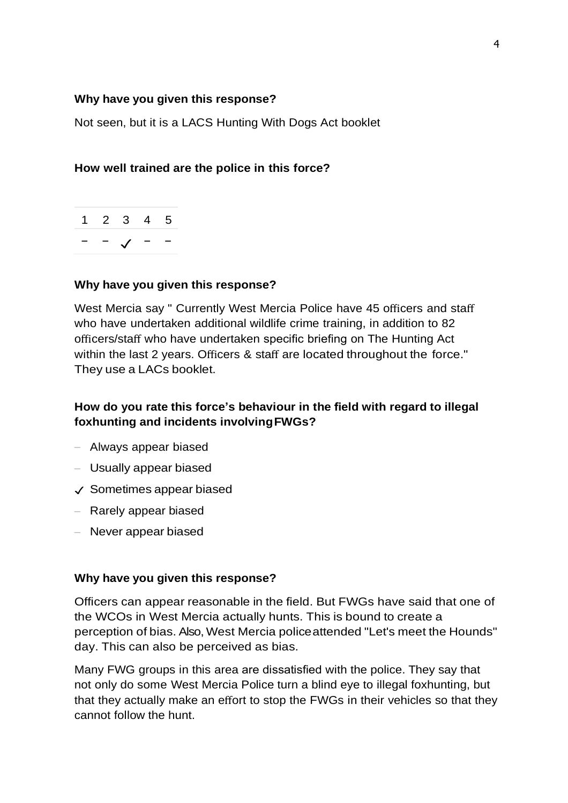#### **Why have you given this response?**

Not seen, but it is a LACS Hunting With Dogs Act booklet

#### **How well trained are the police in this force?**

|  | 1 2 3 4 5  |  |
|--|------------|--|
|  | $\sqrt{ }$ |  |

#### **Why have you given this response?**

West Mercia say " Currently West Mercia Police have 45 officers and staff who have undertaken additional wildlife crime training, in addition to 82 officers/staff who have undertaken specific briefing on The Hunting Act within the last 2 years. Officers & staff are located throughout the force." They use a LACs booklet.

## **How do you rate this force's behaviour in the field with regard to illegal foxhunting and incidents involvingFWGs?**

- Always appear biased
- Usually appear biased
- ✓ Sometimes appear biased
- Rarely appear biased
- Never appear biased

#### **Why have you given this response?**

Officers can appear reasonable in the field. But FWGs have said that one of the WCOs in West Mercia actually hunts. This is bound to create a perception of bias. Also, West Mercia policeattended "Let's meet the Hounds" day. This can also be perceived as bias.

Many FWG groups in this area are dissatisfied with the police. They say that not only do some West Mercia Police turn a blind eye to illegal foxhunting, but that they actually make an effort to stop the FWGs in their vehicles so that they cannot follow the hunt.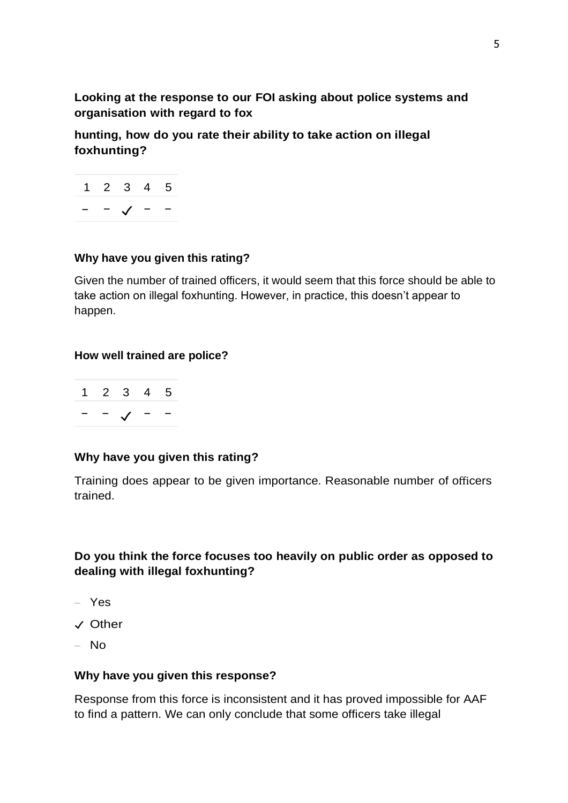**Looking at the response to our FOI asking about police systems and organisation with regard to fox**

**hunting, how do you rate their ability to take action on illegal foxhunting?**



## **Why have you given this rating?**

Given the number of trained officers, it would seem that this force should be able to take action on illegal foxhunting. However, in practice, this doesn't appear to happen.

#### **How well trained are police?**

|  | 1 2 3 4 5                            |  |
|--|--------------------------------------|--|
|  | $ \checkmark$ $ \check{\phantom{1}}$ |  |

#### **Why have you given this rating?**

Training does appear to be given importance. Reasonable number of officers trained.

## **Do you think the force focuses too heavily on public order as opposed to dealing with illegal foxhunting?**

- Yes
- ✓ Other
- No

#### **Why have you given this response?**

Response from this force is inconsistent and it has proved impossible for AAF to find a pattern. We can only conclude that some officers take illegal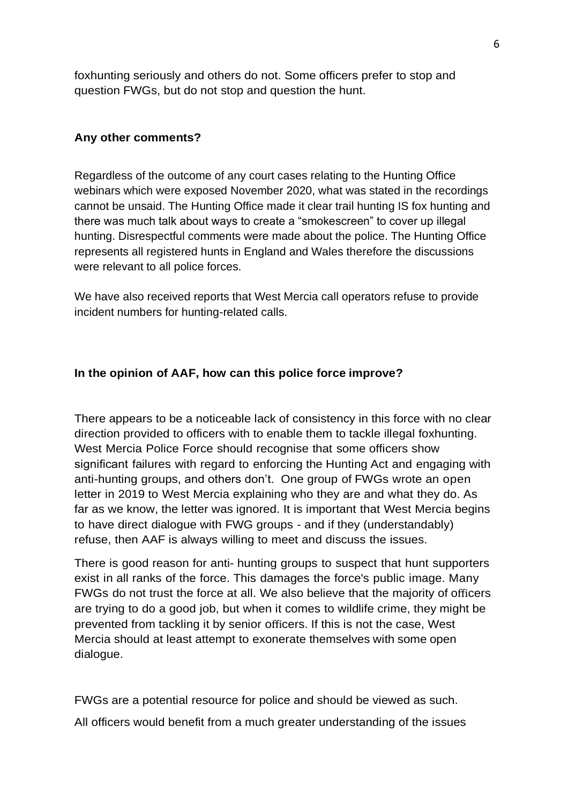foxhunting seriously and others do not. Some officers prefer to stop and question FWGs, but do not stop and question the hunt.

#### **Any other comments?**

Regardless of the outcome of any court cases relating to the Hunting Office webinars which were exposed November 2020, what was stated in the recordings cannot be unsaid. The Hunting Office made it clear trail hunting IS fox hunting and there was much talk about ways to create a "smokescreen" to cover up illegal hunting. Disrespectful comments were made about the police. The Hunting Office represents all registered hunts in England and Wales therefore the discussions were relevant to all police forces.

We have also received reports that West Mercia call operators refuse to provide incident numbers for hunting-related calls.

#### **In the opinion of AAF, how can this police force improve?**

There appears to be a noticeable lack of consistency in this force with no clear direction provided to officers with to enable them to tackle illegal foxhunting. West Mercia Police Force should recognise that some officers show significant failures with regard to enforcing the Hunting Act and engaging with anti-hunting groups, and others don't. One group of FWGs wrote an open letter in 2019 to West Mercia explaining who they are and what they do. As far as we know, the letter was ignored. It is important that West Mercia begins to have direct dialogue with FWG groups - and if they (understandably) refuse, then AAF is always willing to meet and discuss the issues.

There is good reason for anti- hunting groups to suspect that hunt supporters exist in all ranks of the force. This damages the force's public image. Many FWGs do not trust the force at all. We also believe that the majority of officers are trying to do a good job, but when it comes to wildlife crime, they might be prevented from tackling it by senior officers. If this is not the case, West Mercia should at least attempt to exonerate themselves with some open dialogue.

FWGs are a potential resource for police and should be viewed as such. All officers would benefit from a much greater understanding of the issues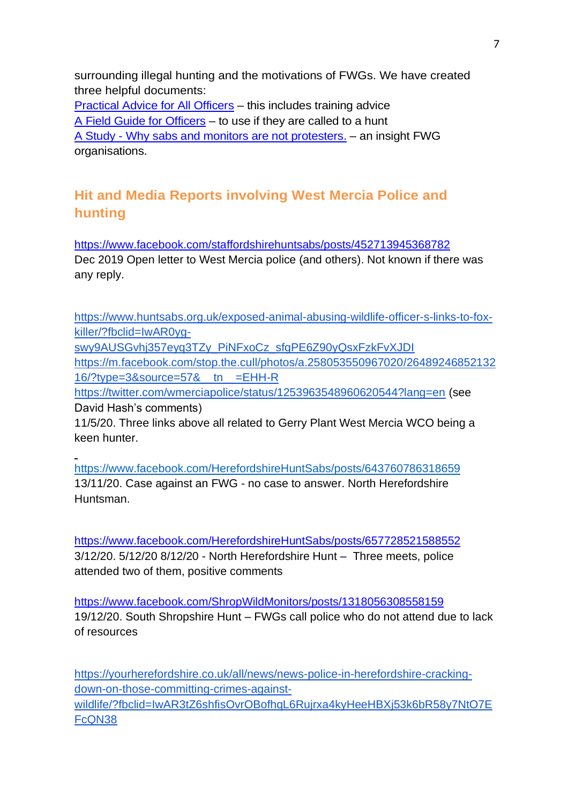surrounding illegal hunting and the motivations of FWGs. We have created three helpful documents:

[Practical Advice for All Officers](https://www.actionagainstfoxhunting.org/wp-content/uploads/2021/11/B-1411-Practical-Advice-for-all-Police-Forces.pdf) – this includes training advice [A Field Guide for Officers](https://www.actionagainstfoxhunting.org/wp-content/uploads/2021/11/A-1411-FIELD-GUIDE-ILLEGAL-FOXHUNTING.pdf) – to use if they are called to a hunt A Study - [Why sabs and monitors are not protesters.](https://www.actionagainstfoxhunting.org/wp-content/uploads/2021/11/A-1411-Why-sabs-and-monitors-arent-protesters.pdf) – an insight FWG organisations.

## **Hit and Media Reports involving West Mercia Police and hunting**

<https://www.facebook.com/staffordshirehuntsabs/posts/452713945368782> Dec 2019 Open letter to West Mercia police (and others). Not known if there was any reply.

[https://www.huntsabs.org.uk/exposed-animal-abusing-wildlife-officer-s-links-to-fox](https://www.huntsabs.org.uk/exposed-animal-abusing-wildlife-officer-s-links-to-fox-killer/?fbclid=IwAR0yg-swy9AUSGvhj357eyq3TZy_PiNFxoCz_sfgPE6Z90yQsxFzkFvXJDI)[killer/?fbclid=IwAR0yg](https://www.huntsabs.org.uk/exposed-animal-abusing-wildlife-officer-s-links-to-fox-killer/?fbclid=IwAR0yg-swy9AUSGvhj357eyq3TZy_PiNFxoCz_sfgPE6Z90yQsxFzkFvXJDI)[swy9AUSGvhj357eyq3TZy\\_PiNFxoCz\\_sfgPE6Z90yQsxFzkFvXJDI](https://www.huntsabs.org.uk/exposed-animal-abusing-wildlife-officer-s-links-to-fox-killer/?fbclid=IwAR0yg-swy9AUSGvhj357eyq3TZy_PiNFxoCz_sfgPE6Z90yQsxFzkFvXJDI) [https://m.facebook.com/stop.the.cull/photos/a.258053550967020/26489246852132](https://m.facebook.com/stop.the.cull/photos/a.258053550967020/2648924685213216/?type=3&source=57&__tn__=EHH-R) [16/?type=3&source=57&\\_\\_tn\\_\\_=EHH-R](https://m.facebook.com/stop.the.cull/photos/a.258053550967020/2648924685213216/?type=3&source=57&__tn__=EHH-R) <https://twitter.com/wmerciapolice/status/1253963548960620544?lang=en> (see David Hash's comments) 11/5/20. Three links above all related to Gerry Plant West Mercia WCO being a keen hunter.

<https://www.facebook.com/HerefordshireHuntSabs/posts/643760786318659> 13/11/20. Case against an FWG - no case to answer. North Herefordshire Huntsman.

<https://www.facebook.com/HerefordshireHuntSabs/posts/657728521588552> 3/12/20. 5/12/20 8/12/20 - North Herefordshire Hunt – Three meets, police attended two of them, positive comments

<https://www.facebook.com/ShropWildMonitors/posts/1318056308558159> 19/12/20. South Shropshire Hunt – FWGs call police who do not attend due to lack of resources

[https://yourherefordshire.co.uk/all/news/news-police-in-herefordshire-cracking](https://yourherefordshire.co.uk/all/news/news-police-in-herefordshire-cracking-down-on-those-committing-crimes-against-wildlife/?fbclid=IwAR3tZ6shfisOvrOBofhqL6Rujrxa4kyHeeHBXj53k6bR58y7NtO7EFcQN38)[down-on-those-committing-crimes-against](https://yourherefordshire.co.uk/all/news/news-police-in-herefordshire-cracking-down-on-those-committing-crimes-against-wildlife/?fbclid=IwAR3tZ6shfisOvrOBofhqL6Rujrxa4kyHeeHBXj53k6bR58y7NtO7EFcQN38)[wildlife/?fbclid=IwAR3tZ6shfisOvrOBofhqL6Rujrxa4kyHeeHBXj53k6bR58y7NtO7E](https://yourherefordshire.co.uk/all/news/news-police-in-herefordshire-cracking-down-on-those-committing-crimes-against-wildlife/?fbclid=IwAR3tZ6shfisOvrOBofhqL6Rujrxa4kyHeeHBXj53k6bR58y7NtO7EFcQN38) [FcQN38](https://yourherefordshire.co.uk/all/news/news-police-in-herefordshire-cracking-down-on-those-committing-crimes-against-wildlife/?fbclid=IwAR3tZ6shfisOvrOBofhqL6Rujrxa4kyHeeHBXj53k6bR58y7NtO7EFcQN38)